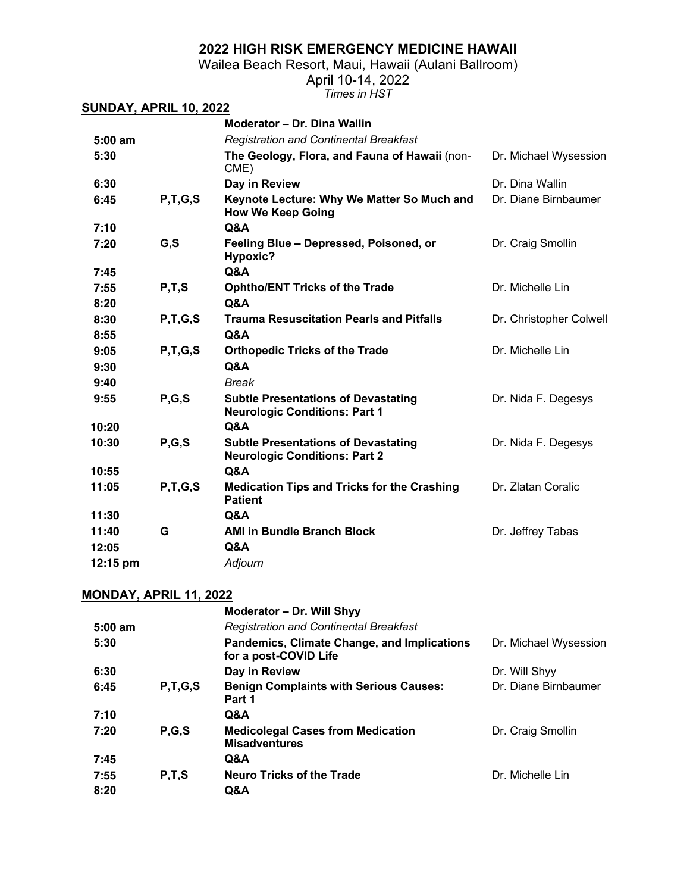Wailea Beach Resort, Maui, Hawaii (Aulani Ballroom)

April 10-14, 2022

*Times in HST*

| <b>SUNDAY, APRIL 10, 2022</b> |            |                                                                                    |                         |
|-------------------------------|------------|------------------------------------------------------------------------------------|-------------------------|
|                               |            | Moderator - Dr. Dina Wallin                                                        |                         |
| $5:00$ am                     |            | <b>Registration and Continental Breakfast</b>                                      |                         |
| 5:30                          |            | The Geology, Flora, and Fauna of Hawaii (non-<br>CME)                              | Dr. Michael Wysession   |
| 6:30                          |            | Day in Review                                                                      | Dr. Dina Wallin         |
| 6:45                          | P, T, G, S | Keynote Lecture: Why We Matter So Much and<br><b>How We Keep Going</b>             | Dr. Diane Birnbaumer    |
| 7:10                          |            | Q&A                                                                                |                         |
| 7:20                          | G, S       | Feeling Blue - Depressed, Poisoned, or<br>Hypoxic?                                 | Dr. Craig Smollin       |
| 7:45                          |            | Q&A                                                                                |                         |
| 7:55                          | P, T, S    | <b>Ophtho/ENT Tricks of the Trade</b>                                              | Dr. Michelle Lin        |
| 8:20                          |            | <b>Q&amp;A</b>                                                                     |                         |
| 8:30                          | P, T, G, S | <b>Trauma Resuscitation Pearls and Pitfalls</b>                                    | Dr. Christopher Colwell |
| 8:55                          |            | Q&A                                                                                |                         |
| 9:05                          | P, T, G, S | <b>Orthopedic Tricks of the Trade</b>                                              | Dr. Michelle Lin        |
| 9:30                          |            | Q&A                                                                                |                         |
| 9:40                          |            | <b>Break</b>                                                                       |                         |
| 9:55                          | P, G, S    | <b>Subtle Presentations of Devastating</b><br><b>Neurologic Conditions: Part 1</b> | Dr. Nida F. Degesys     |
| 10:20                         |            | Q&A                                                                                |                         |
| 10:30                         | P, G, S    | <b>Subtle Presentations of Devastating</b><br><b>Neurologic Conditions: Part 2</b> | Dr. Nida F. Degesys     |
| 10:55                         |            | <b>Q&amp;A</b>                                                                     |                         |
| 11:05                         | P, T, G, S | <b>Medication Tips and Tricks for the Crashing</b><br><b>Patient</b>               | Dr. Zlatan Coralic      |
| 11:30                         |            | Q&A                                                                                |                         |
| 11:40                         | G          | <b>AMI in Bundle Branch Block</b>                                                  | Dr. Jeffrey Tabas       |
| 12:05                         |            | <b>Q&amp;A</b>                                                                     |                         |
| 12:15 pm                      |            | Adjourn                                                                            |                         |

### **MONDAY, APRIL 11, 2022**

|           |            | Moderator - Dr. Will Shyy                                            |                       |
|-----------|------------|----------------------------------------------------------------------|-----------------------|
| $5:00$ am |            | <b>Registration and Continental Breakfast</b>                        |                       |
| 5:30      |            | Pandemics, Climate Change, and Implications<br>for a post-COVID Life | Dr. Michael Wysession |
| 6:30      |            | Day in Review                                                        | Dr. Will Shyy         |
| 6:45      | P, T, G, S | <b>Benign Complaints with Serious Causes:</b><br>Part 1              | Dr. Diane Birnbaumer  |
| 7:10      |            | Q&A                                                                  |                       |
| 7:20      | P, G, S    | <b>Medicolegal Cases from Medication</b><br><b>Misadventures</b>     | Dr. Craig Smollin     |
| 7:45      |            | Q&A                                                                  |                       |
| 7:55      | P, T, S    | <b>Neuro Tricks of the Trade</b>                                     | Dr. Michelle Lin      |
| 8:20      |            | Q&A                                                                  |                       |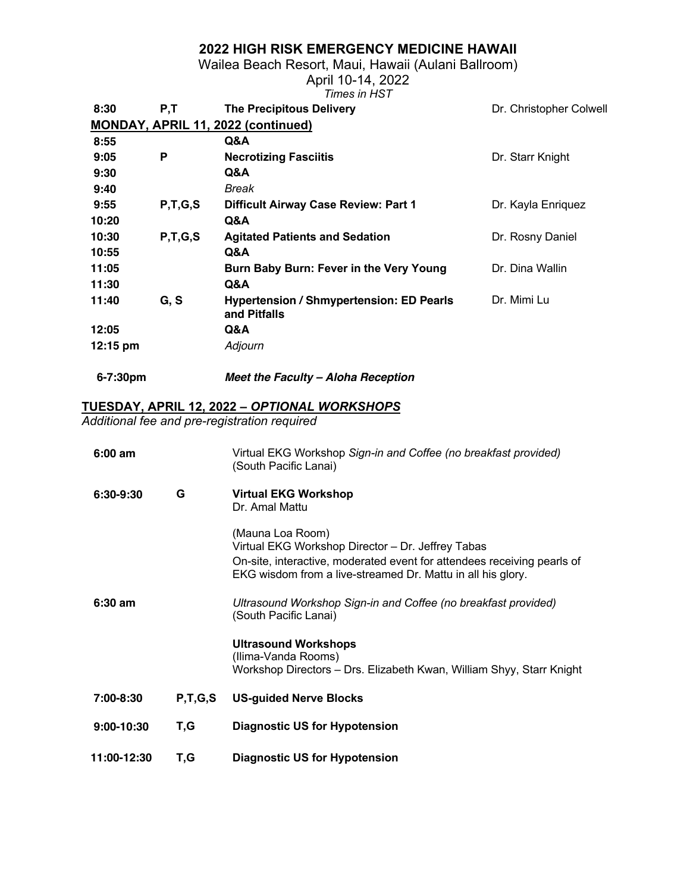Wailea Beach Resort, Maui, Hawaii (Aulani Ballroom)

April 10-14, 2022

|                    |            | Times in HST                                             |                         |
|--------------------|------------|----------------------------------------------------------|-------------------------|
| 8:30               | P,T        | <b>The Precipitous Delivery</b>                          | Dr. Christopher Colwell |
|                    |            | MONDAY, APRIL 11, 2022 (continued)                       |                         |
| 8:55               |            | Q&A                                                      |                         |
| 9:05               | P          | <b>Necrotizing Fasciitis</b>                             | Dr. Starr Knight        |
| 9:30               |            | Q&A                                                      |                         |
| 9:40               |            | Break                                                    |                         |
| 9:55               | P, T, G, S | <b>Difficult Airway Case Review: Part 1</b>              | Dr. Kayla Enriquez      |
| 10:20              |            | Q&A                                                      |                         |
| 10:30              | P, T, G, S | <b>Agitated Patients and Sedation</b>                    | Dr. Rosny Daniel        |
| 10:55              |            | Q&A                                                      |                         |
| 11:05              |            | Burn Baby Burn: Fever in the Very Young                  | Dr. Dina Wallin         |
| 11:30              |            | Q&A                                                      |                         |
| 11:40              | G, S       | Hypertension / Shmypertension: ED Pearls<br>and Pitfalls | Dr. Mimi Lu             |
| 12:05              |            | Q&A                                                      |                         |
| $12:15 \text{ pm}$ |            | Adjourn                                                  |                         |
|                    |            |                                                          |                         |

**6-7:30pm** *Meet the Faculty – Aloha Reception*

#### **TUESDAY, APRIL 12, 2022 –** *OPTIONAL WORKSHOPS*

*Additional fee and pre-registration required*

| $6:00$ am   |            | Virtual EKG Workshop Sign-in and Coffee (no breakfast provided)<br>(South Pacific Lanai)                                                                                                                        |
|-------------|------------|-----------------------------------------------------------------------------------------------------------------------------------------------------------------------------------------------------------------|
| 6:30-9:30   | G          | <b>Virtual EKG Workshop</b><br>Dr. Amal Mattu                                                                                                                                                                   |
|             |            | (Mauna Loa Room)<br>Virtual EKG Workshop Director - Dr. Jeffrey Tabas<br>On-site, interactive, moderated event for attendees receiving pearls of<br>EKG wisdom from a live-streamed Dr. Mattu in all his glory. |
| $6:30$ am   |            | Ultrasound Workshop Sign-in and Coffee (no breakfast provided)<br>(South Pacific Lanai)                                                                                                                         |
|             |            | <b>Ultrasound Workshops</b><br>(Ilima-Vanda Rooms)<br>Workshop Directors – Drs. Elizabeth Kwan, William Shyy, Starr Knight                                                                                      |
| 7:00-8:30   | P, T, G, S | <b>US-guided Nerve Blocks</b>                                                                                                                                                                                   |
| 9:00-10:30  | T,G        | <b>Diagnostic US for Hypotension</b>                                                                                                                                                                            |
| 11:00-12:30 | T,G        | <b>Diagnostic US for Hypotension</b>                                                                                                                                                                            |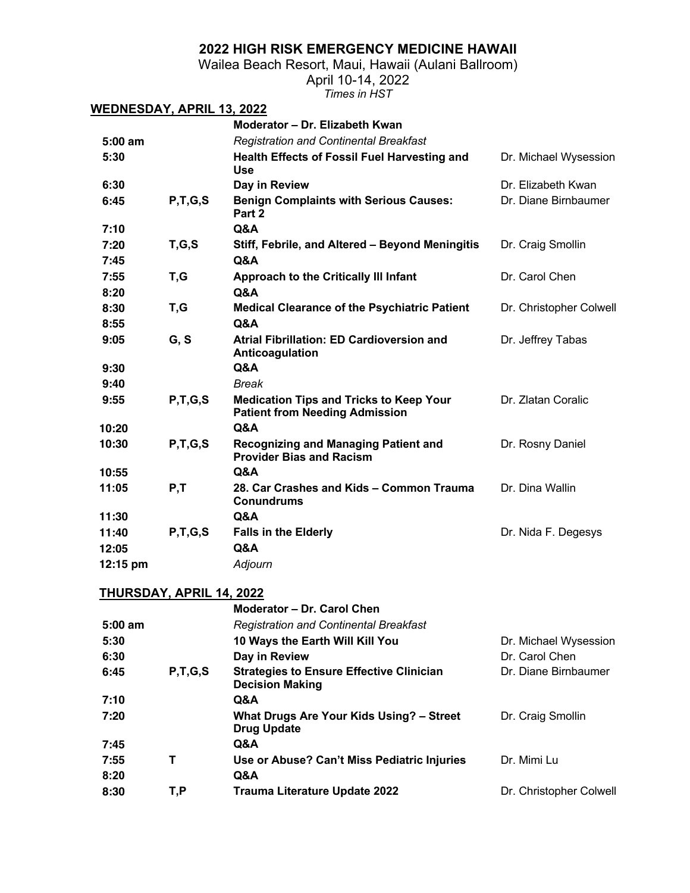Wailea Beach Resort, Maui, Hawaii (Aulani Ballroom)

April 10-14, 2022

*Times in HST*

| <u>WEDNESDAY, APRIL 13, 2022</u> |                          |                                                                                         |                                        |
|----------------------------------|--------------------------|-----------------------------------------------------------------------------------------|----------------------------------------|
|                                  |                          | Moderator - Dr. Elizabeth Kwan                                                          |                                        |
| $5:00$ am                        |                          | <b>Registration and Continental Breakfast</b>                                           |                                        |
| 5:30                             |                          | <b>Health Effects of Fossil Fuel Harvesting and</b><br><b>Use</b>                       | Dr. Michael Wysession                  |
| 6:30                             |                          | Day in Review                                                                           | Dr. Elizabeth Kwan                     |
| 6:45                             | P, T, G, S               | <b>Benign Complaints with Serious Causes:</b><br>Part 2                                 | Dr. Diane Birnbaumer                   |
| 7:10                             |                          | Q&A                                                                                     |                                        |
| 7:20                             | T,G,S                    | Stiff, Febrile, and Altered - Beyond Meningitis                                         | Dr. Craig Smollin                      |
| 7:45                             |                          | Q&A                                                                                     |                                        |
| 7:55                             | T,G                      | <b>Approach to the Critically III Infant</b>                                            | Dr. Carol Chen                         |
| 8:20                             |                          | Q&A                                                                                     |                                        |
| 8:30                             | T,G                      | <b>Medical Clearance of the Psychiatric Patient</b>                                     | Dr. Christopher Colwell                |
| 8:55                             |                          | Q&A                                                                                     |                                        |
| 9:05                             | G, S                     | <b>Atrial Fibrillation: ED Cardioversion and</b><br>Anticoagulation                     | Dr. Jeffrey Tabas                      |
| 9:30                             |                          | Q&A                                                                                     |                                        |
| 9:40                             |                          | <b>Break</b>                                                                            |                                        |
| 9:55                             | P, T, G, S               | <b>Medication Tips and Tricks to Keep Your</b><br><b>Patient from Needing Admission</b> | Dr. Zlatan Coralic                     |
| 10:20                            |                          | <b>Q&amp;A</b>                                                                          |                                        |
| 10:30                            | P, T, G, S               | <b>Recognizing and Managing Patient and</b><br><b>Provider Bias and Racism</b>          | Dr. Rosny Daniel                       |
| 10:55                            |                          | Q&A                                                                                     |                                        |
| 11:05                            | P, T                     | 28. Car Crashes and Kids - Common Trauma<br><b>Conundrums</b>                           | Dr. Dina Wallin                        |
| 11:30                            |                          | Q&A                                                                                     |                                        |
| 11:40                            | P, T, G, S               | <b>Falls in the Elderly</b>                                                             | Dr. Nida F. Degesys                    |
| 12:05                            |                          | Q&A                                                                                     |                                        |
| 12:15 pm                         |                          | Adjourn                                                                                 |                                        |
|                                  | THURSDAY, APRIL 14, 2022 |                                                                                         |                                        |
|                                  |                          | Moderator – Dr. Carol Chen                                                              |                                        |
| 5:00 am                          |                          | <b>Registration and Continental Breakfast</b>                                           |                                        |
| 5:30                             |                          | 10 Ways the Earth Will Kill You                                                         | Dr. Michael Wysession                  |
| 6:30                             |                          | Day in Review                                                                           | Dr. Carol Chen<br>Dr. Diane Birnbaumer |
| 6:45                             | P, T, G, S               | <b>Strategies to Ensure Effective Clinician</b><br><b>Decision Making</b>               |                                        |
| 7:10                             |                          | Q&A                                                                                     |                                        |
| 7:20                             |                          | What Drugs Are Your Kids Using? - Street<br><b>Drug Update</b>                          | Dr. Craig Smollin                      |
| 7:45                             |                          | Q&A                                                                                     |                                        |
| 7:55<br>8:20                     | т                        | Use or Abuse? Can't Miss Pediatric Injuries<br>Q&A                                      | Dr. Mimi Lu                            |
| 8:30                             | T,P                      | Trauma Literature Update 2022                                                           | Dr. Christopher Colwell                |